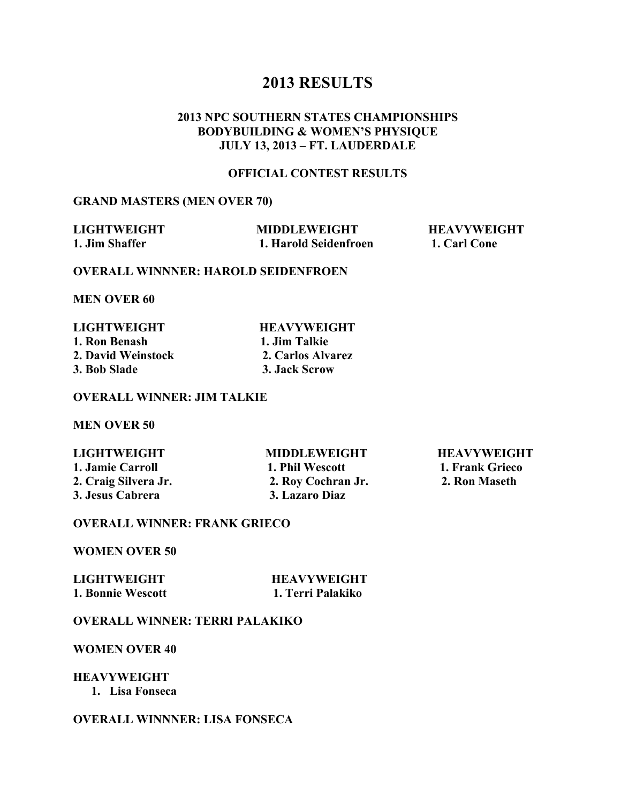## **2013 RESULTS**

### **2013 NPC SOUTHERN STATES CHAMPIONSHIPS BODYBUILDING & WOMEN'S PHYSIQUE JULY 13, 2013 – FT. LAUDERDALE**

#### **OFFICIAL CONTEST RESULTS**

#### **GRAND MASTERS (MEN OVER 70)**

| <b>LIGHTWEIGHT</b> | <b>MIDDLEWEIGHT</b>   | <b>HEAVYWEIGHT</b> |
|--------------------|-----------------------|--------------------|
| 1. Jim Shaffer     | 1. Harold Seidenfroen | 1. Carl Cone       |

#### **OVERALL WINNNER: HAROLD SEIDENFROEN**

**MEN OVER 60**

#### **HEAVYWEIGHT 1. Jim Talkie 2. Carlos Alvarez 3. Jack Scrow**

#### **OVERALL WINNER: JIM TALKIE**

**MEN OVER 50**

**1. Jamie Carroll 1. Phil Wescott** 1. Frank Grieco<br>
2. Craig Silvera Jr. 2. Rov Cochran Jr. 2. Ron Maseth **2. Craig Silvera Jr.** 2. Roy Cochran Jr. **3. Jesus Cabrera 3. Lazaro Diaz**

**LIGHTWEIGHT MIDDLEWEIGHT HEAVYWEIGHT**

#### **OVERALL WINNER: FRANK GRIECO**

**WOMEN OVER 50**

| LIGHTWEIGHT       | <b>HEAVYWEIGHT</b> |
|-------------------|--------------------|
| 1. Bonnie Wescott | 1. Terri Palakiko  |

### **OVERALL WINNER: TERRI PALAKIKO**

**WOMEN OVER 40**

#### **HEAVYWEIGHT**

**1. Lisa Fonseca**

#### **OVERALL WINNNER: LISA FONSECA**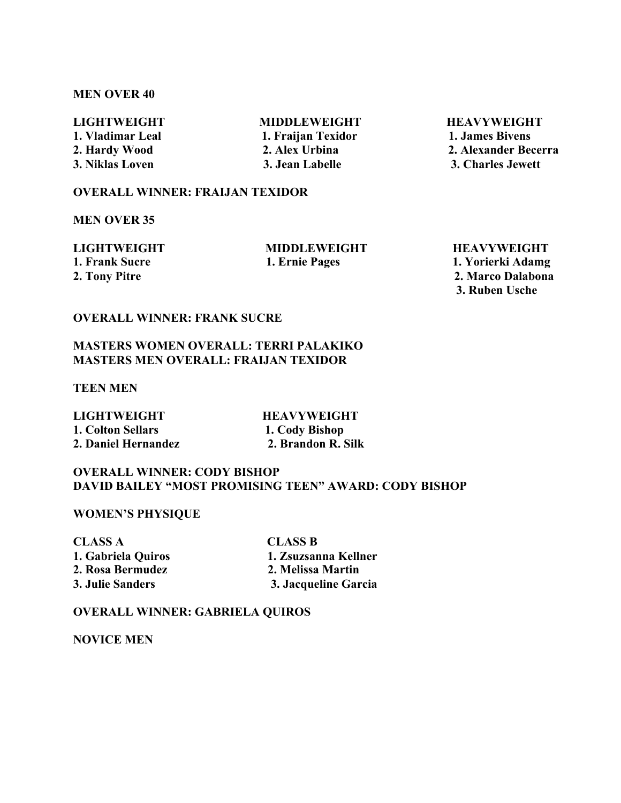#### **MEN OVER 40**

# LIGHTWEIGHT MIDDLEWEIGHT HEAVYWEIGHT

**1. Vladimar Leal 1. Fraijan Texidor 1. James Bivens**

**2. Hardy Wood 2. Alex Urbina 2. Alexander Becerra 3. Niklas Loven 3. Jean Labelle 3. Charles Jewett**

#### **OVERALL WINNER: FRAIJAN TEXIDOR**

**MEN OVER 35**

**LIGHTWEIGHT MIDDLEWEIGHT HEAVYWEIGHT 1. Frank Sucre 1. Ernie Pages 1. Yorierki Adamg 2. Tony Pitre 2. Marco Dalabona 3. Ruben Usche**

### **OVERALL WINNER: FRANK SUCRE**

#### **MASTERS WOMEN OVERALL: TERRI PALAKIKO MASTERS MEN OVERALL: FRAIJAN TEXIDOR**

**TEEN MEN**

LIGHTWEIGHT **HEAVYWEIGHT 1. Colton Sellars 1. Cody Bishop 2. Daniel Hernandez 2. Brandon R. Silk**

#### **OVERALL WINNER: CODY BISHOP DAVID BAILEY "MOST PROMISING TEEN" AWARD: CODY BISHOP**

**WOMEN'S PHYSIQUE**

**CLASS A CLASS B 2. Rosa Bermudez 2. Melissa Martin**

**1. Gabriela Quiros 1. Zsuzsanna Kellner 3. Julie Sanders 3. Jacqueline Garcia**

#### **OVERALL WINNER: GABRIELA QUIROS**

**NOVICE MEN**